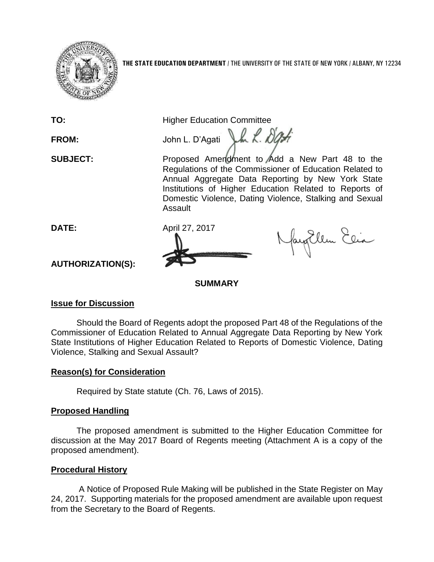

**TO:** Higher Education Committee

FROM: John L. D'Agati Jun 2. 000 **SUBJECT:** Proposed Amendment to Add a New Part 48 to the Regulations of the Commissioner of Education Related to Annual Aggregate Data Reporting by New York State Institutions of Higher Education Related to Reports of Domestic Violence, Dating Violence, Stalking and Sexual



Assault

NayEllen Elia

**AUTHORIZATION(S):**

**SUMMARY**

## **Issue for Discussion**

Should the Board of Regents adopt the proposed Part 48 of the Regulations of the Commissioner of Education Related to Annual Aggregate Data Reporting by New York State Institutions of Higher Education Related to Reports of Domestic Violence, Dating Violence, Stalking and Sexual Assault?

# **Reason(s) for Consideration**

Required by State statute (Ch. 76, Laws of 2015).

# **Proposed Handling**

The proposed amendment is submitted to the Higher Education Committee for discussion at the May 2017 Board of Regents meeting (Attachment A is a copy of the proposed amendment).

## **Procedural History**

A Notice of Proposed Rule Making will be published in the State Register on May 24, 2017. Supporting materials for the proposed amendment are available upon request from the Secretary to the Board of Regents.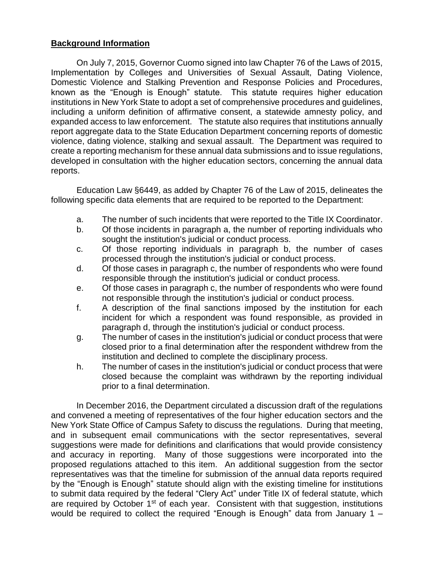### **Background Information**

On July 7, 2015, Governor Cuomo signed into law Chapter 76 of the Laws of 2015, Implementation by Colleges and Universities of Sexual Assault, Dating Violence, Domestic Violence and Stalking Prevention and Response Policies and Procedures, known as the "Enough is Enough" statute. This statute requires higher education institutions in New York State to adopt a set of comprehensive procedures and guidelines, including a uniform definition of affirmative consent, a statewide amnesty policy, and expanded access to law enforcement. The statute also requires that institutions annually report aggregate data to the State Education Department concerning reports of domestic violence, dating violence, stalking and sexual assault. The Department was required to create a reporting mechanism for these annual data submissions and to issue regulations, developed in consultation with the higher education sectors, concerning the annual data reports.

Education Law §6449, as added by Chapter 76 of the Law of 2015, delineates the following specific data elements that are required to be reported to the Department:

- a. The number of such incidents that were reported to the Title IX Coordinator.
- b. Of those incidents in paragraph a, the number of reporting individuals who sought the institution's judicial or conduct process.
- c. Of those reporting individuals in paragraph b, the number of cases processed through the institution's judicial or conduct process.
- d. Of those cases in paragraph c, the number of respondents who were found responsible through the institution's judicial or conduct process.
- e. Of those cases in paragraph c, the number of respondents who were found not responsible through the institution's judicial or conduct process.
- f. A description of the final sanctions imposed by the institution for each incident for which a respondent was found responsible, as provided in paragraph d, through the institution's judicial or conduct process.
- g. The number of cases in the institution's judicial or conduct process that were closed prior to a final determination after the respondent withdrew from the institution and declined to complete the disciplinary process.
- h. The number of cases in the institution's judicial or conduct process that were closed because the complaint was withdrawn by the reporting individual prior to a final determination.

In December 2016, the Department circulated a discussion draft of the regulations and convened a meeting of representatives of the four higher education sectors and the New York State Office of Campus Safety to discuss the regulations. During that meeting, and in subsequent email communications with the sector representatives, several suggestions were made for definitions and clarifications that would provide consistency and accuracy in reporting. Many of those suggestions were incorporated into the proposed regulations attached to this item. An additional suggestion from the sector representatives was that the timeline for submission of the annual data reports required by the "Enough is Enough" statute should align with the existing timeline for institutions to submit data required by the federal "Clery Act" under Title IX of federal statute, which are required by October 1<sup>st</sup> of each year. Consistent with that suggestion, institutions would be required to collect the required "Enough is Enough" data from January 1 –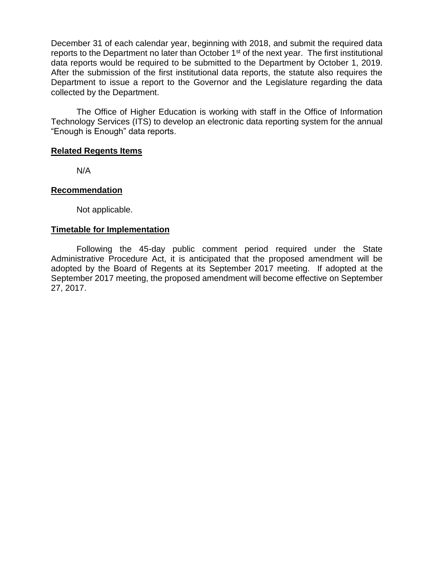December 31 of each calendar year, beginning with 2018, and submit the required data reports to the Department no later than October  $1<sup>st</sup>$  of the next year. The first institutional data reports would be required to be submitted to the Department by October 1, 2019. After the submission of the first institutional data reports, the statute also requires the Department to issue a report to the Governor and the Legislature regarding the data collected by the Department.

The Office of Higher Education is working with staff in the Office of Information Technology Services (ITS) to develop an electronic data reporting system for the annual "Enough is Enough" data reports.

### **Related Regents Items**

N/A

### **Recommendation**

Not applicable.

### **Timetable for Implementation**

Following the 45-day public comment period required under the State Administrative Procedure Act, it is anticipated that the proposed amendment will be adopted by the Board of Regents at its September 2017 meeting. If adopted at the September 2017 meeting, the proposed amendment will become effective on September 27, 2017.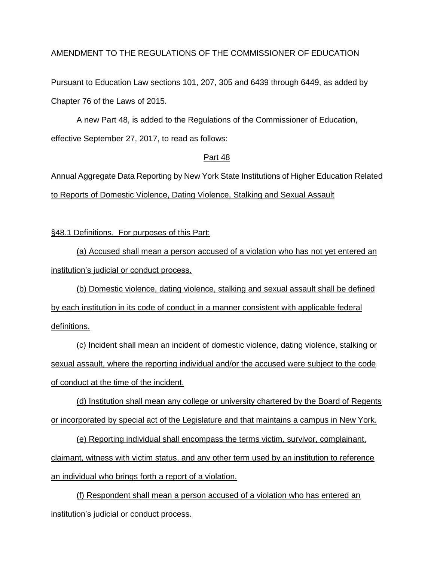### AMENDMENT TO THE REGULATIONS OF THE COMMISSIONER OF EDUCATION

Pursuant to Education Law sections 101, 207, 305 and 6439 through 6449, as added by Chapter 76 of the Laws of 2015.

A new Part 48, is added to the Regulations of the Commissioner of Education, effective September 27, 2017, to read as follows:

#### Part 48

Annual Aggregate Data Reporting by New York State Institutions of Higher Education Related to Reports of Domestic Violence, Dating Violence, Stalking and Sexual Assault

§48.1 Definitions. For purposes of this Part:

(a) Accused shall mean a person accused of a violation who has not yet entered an institution's judicial or conduct process.

(b) Domestic violence, dating violence, stalking and sexual assault shall be defined by each institution in its code of conduct in a manner consistent with applicable federal definitions.

(c) Incident shall mean an incident of domestic violence, dating violence, stalking or sexual assault, where the reporting individual and/or the accused were subject to the code of conduct at the time of the incident.

(d) Institution shall mean any college or university chartered by the Board of Regents or incorporated by special act of the Legislature and that maintains a campus in New York.

(e) Reporting individual shall encompass the terms victim, survivor, complainant, claimant, witness with victim status, and any other term used by an institution to reference an individual who brings forth a report of a violation.

(f) Respondent shall mean a person accused of a violation who has entered an institution's judicial or conduct process.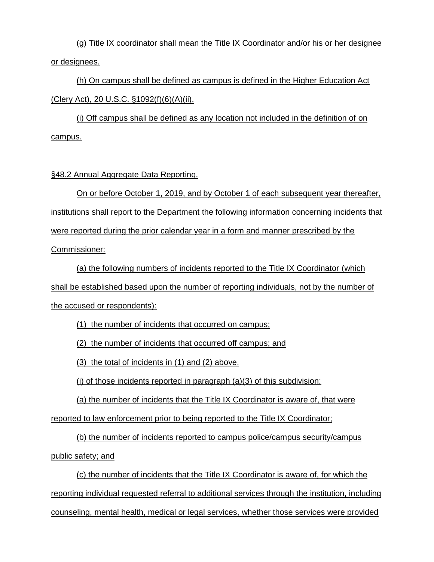(g) Title IX coordinator shall mean the Title IX Coordinator and/or his or her designee or designees.

(h) On campus shall be defined as campus is defined in the Higher Education Act (Clery Act), 20 U.S.C. §1092(f)(6)(A)(ii).

(i) Off campus shall be defined as any location not included in the definition of on campus.

### §48.2 Annual Aggregate Data Reporting.

On or before October 1, 2019, and by October 1 of each subsequent year thereafter, institutions shall report to the Department the following information concerning incidents that were reported during the prior calendar year in a form and manner prescribed by the Commissioner:

(a) the following numbers of incidents reported to the Title IX Coordinator (which shall be established based upon the number of reporting individuals, not by the number of the accused or respondents):

(1) the number of incidents that occurred on campus;

(2) the number of incidents that occurred off campus; and

(3) the total of incidents in (1) and (2) above.

(i) of those incidents reported in paragraph  $(a)(3)$  of this subdivision:

(a) the number of incidents that the Title IX Coordinator is aware of, that were

reported to law enforcement prior to being reported to the Title IX Coordinator;

(b) the number of incidents reported to campus police/campus security/campus

public safety; and

(c) the number of incidents that the Title IX Coordinator is aware of, for which the reporting individual requested referral to additional services through the institution, including counseling, mental health, medical or legal services, whether those services were provided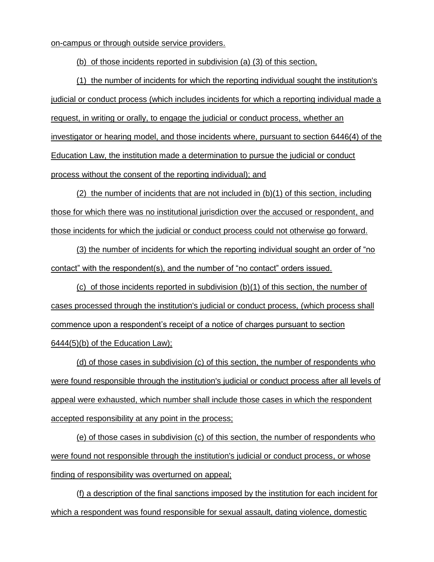on-campus or through outside service providers.

(b) of those incidents reported in subdivision (a) (3) of this section,

(1) the number of incidents for which the reporting individual sought the institution's judicial or conduct process (which includes incidents for which a reporting individual made a request, in writing or orally, to engage the judicial or conduct process, whether an investigator or hearing model, and those incidents where, pursuant to section 6446(4) of the Education Law, the institution made a determination to pursue the judicial or conduct process without the consent of the reporting individual); and

(2) the number of incidents that are not included in (b)(1) of this section, including those for which there was no institutional jurisdiction over the accused or respondent, and those incidents for which the judicial or conduct process could not otherwise go forward.

(3) the number of incidents for which the reporting individual sought an order of "no contact" with the respondent(s), and the number of "no contact" orders issued.

(c) of those incidents reported in subdivision (b)(1) of this section, the number of cases processed through the institution's judicial or conduct process, (which process shall commence upon a respondent's receipt of a notice of charges pursuant to section 6444(5)(b) of the Education Law);

(d) of those cases in subdivision (c) of this section, the number of respondents who were found responsible through the institution's judicial or conduct process after all levels of appeal were exhausted, which number shall include those cases in which the respondent accepted responsibility at any point in the process;

(e) of those cases in subdivision (c) of this section, the number of respondents who were found not responsible through the institution's judicial or conduct process, or whose finding of responsibility was overturned on appeal;

(f) a description of the final sanctions imposed by the institution for each incident for which a respondent was found responsible for sexual assault, dating violence, domestic